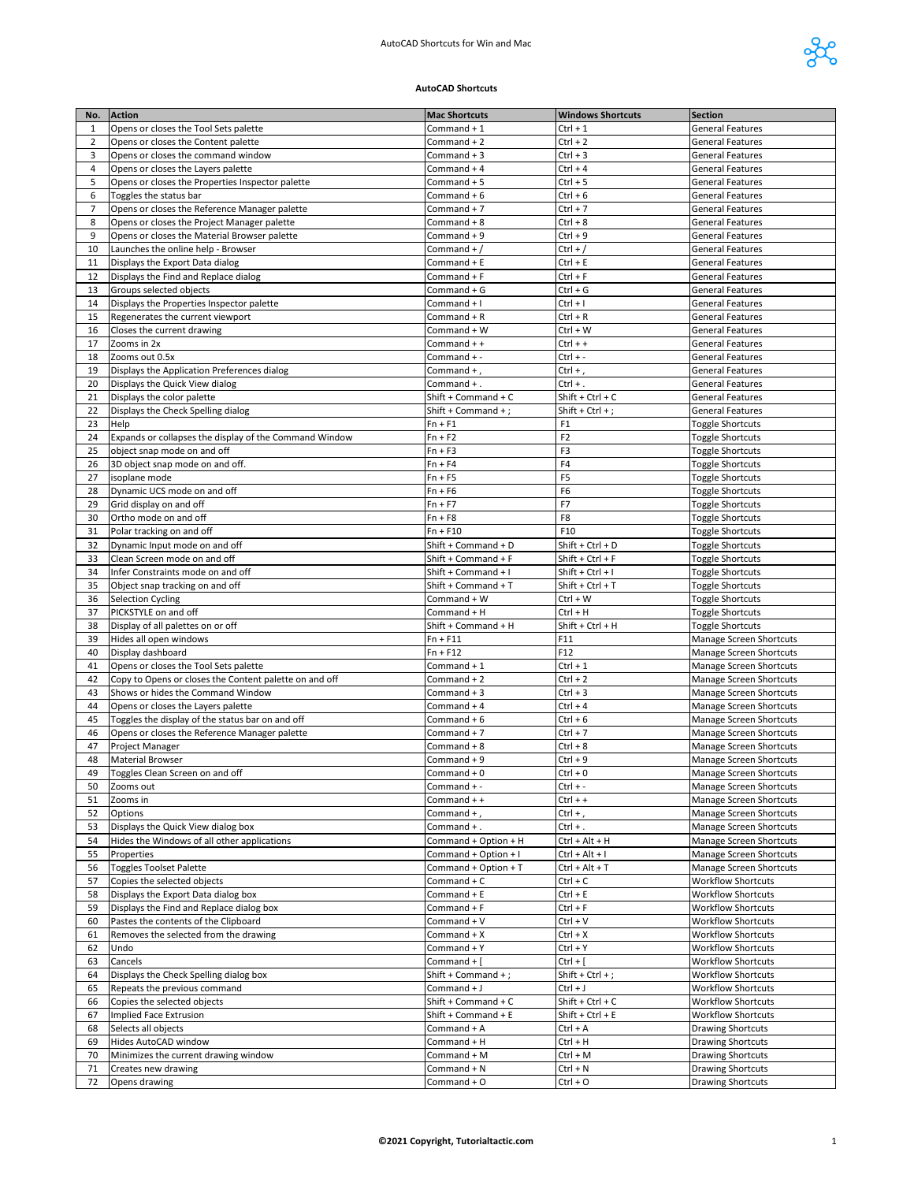

## **AutoCAD Shortcuts**

| No.      | <b>Action</b>                                                           | <b>Mac Shortcuts</b>              | <b>Windows Shortcuts</b>       | <b>Section</b>                                            |
|----------|-------------------------------------------------------------------------|-----------------------------------|--------------------------------|-----------------------------------------------------------|
| 1        | Opens or closes the Tool Sets palette                                   | Command + 1                       | $Ctrl + 1$                     | <b>General Features</b>                                   |
| 2        | Opens or closes the Content palette                                     | Command + 2                       | Ctrl + 2                       | <b>General Features</b>                                   |
| 3        | Opens or closes the command window                                      | Command $+3$                      | $Ctrl + 3$                     | <b>General Features</b>                                   |
| 4        | Opens or closes the Layers palette                                      | Command + 4                       | Ctrl + 4                       | <b>General Features</b>                                   |
| 5        | Opens or closes the Properties Inspector palette                        | Command + 5                       | $Ctrl + 5$                     | <b>General Features</b>                                   |
| 6        | Toggles the status bar                                                  | Command + 6                       | Ctrl + 6                       | <b>General Features</b>                                   |
| 7        | Opens or closes the Reference Manager palette                           | Command + 7                       | $Ctrl + 7$                     | <b>General Features</b>                                   |
| 8        | Opens or closes the Project Manager palette                             | Command + 8                       | Ctrl + 8                       | <b>General Features</b>                                   |
| 9        | Opens or closes the Material Browser palette                            | Command + 9                       | Ctrl + 9                       | <b>General Features</b>                                   |
| 10       | Launches the online help - Browser                                      | Command + $/$                     | Ctrl + /<br>$Ctrl + E$         | <b>General Features</b>                                   |
| 11<br>12 | Displays the Export Data dialog<br>Displays the Find and Replace dialog | Command + E<br>Command + F        | Ctrl + F                       | <b>General Features</b><br><b>General Features</b>        |
| 13       | Groups selected objects                                                 | Command + G                       | Ctrl + G                       | <b>General Features</b>                                   |
| 14       | Displays the Properties Inspector palette                               | Command + I                       | Ctrl + I                       | <b>General Features</b>                                   |
| 15       | Regenerates the current viewport                                        | Command + R                       | Ctrl + R                       | <b>General Features</b>                                   |
| 16       | Closes the current drawing                                              | Command + W                       | Ctrl + W                       | <b>General Features</b>                                   |
| 17       | Zooms in 2x                                                             | Command + +                       | Ctrl + +                       | <b>General Features</b>                                   |
| 18       | Zooms out 0.5x                                                          | Command + -                       | Ctrl + -                       | <b>General Features</b>                                   |
| 19       | Displays the Application Preferences dialog                             | Command +,                        | Ctrl +,                        | <b>General Features</b>                                   |
| 20       | Displays the Quick View dialog                                          | Command +.                        | $Ctrl + .$                     | <b>General Features</b>                                   |
| 21       | Displays the color palette                                              | Shift + Command + C               | Shift + Ctrl + C               | <b>General Features</b>                                   |
| 22       | Displays the Check Spelling dialog                                      | Shift + Command +;                | Shift + Ctrl + ;               | <b>General Features</b>                                   |
| 23       | Help                                                                    | $Fn + F1$                         | F1                             | <b>Toggle Shortcuts</b>                                   |
| 24       | Expands or collapses the display of the Command Window                  | $Fn + F2$                         | F <sub>2</sub>                 | <b>Toggle Shortcuts</b>                                   |
| 25       | object snap mode on and off                                             | $Fn + F3$                         | F3<br>F4                       | <b>Toggle Shortcuts</b>                                   |
| 26<br>27 | 3D object snap mode on and off.<br>isoplane mode                        | $Fn + F4$<br>$Fn + F5$            | F <sub>5</sub>                 | <b>Toggle Shortcuts</b><br><b>Toggle Shortcuts</b>        |
| 28       | Dynamic UCS mode on and off                                             | $Fn + F6$                         | F <sub>6</sub>                 | <b>Toggle Shortcuts</b>                                   |
| 29       | Grid display on and off                                                 | $Fn + F7$                         | F7                             | <b>Toggle Shortcuts</b>                                   |
| 30       | Ortho mode on and off                                                   | $Fn + F8$                         | F8                             | <b>Toggle Shortcuts</b>                                   |
| 31       | Polar tracking on and off                                               | $Fn + F10$                        | F10                            | <b>Toggle Shortcuts</b>                                   |
| 32       | Dynamic Input mode on and off                                           | Shift + Command + D               | Shift + Ctrl + D               | <b>Toggle Shortcuts</b>                                   |
| 33       | Clean Screen mode on and off                                            | Shift + Command + F               | Shift + Ctrl + F               | <b>Toggle Shortcuts</b>                                   |
| 34       | Infer Constraints mode on and off                                       | Shift + Command + I               | Shift + Ctrl + I               | <b>Toggle Shortcuts</b>                                   |
| 35       | Object snap tracking on and off                                         | Shift + Command + T               | Shift + Ctrl + T               | <b>Toggle Shortcuts</b>                                   |
| 36       | <b>Selection Cycling</b>                                                | Command + W                       | Ctrl + W                       | <b>Toggle Shortcuts</b>                                   |
| 37       | PICKSTYLE on and off                                                    | Command + H                       | Ctrl + H                       | <b>Toggle Shortcuts</b>                                   |
| 38<br>39 | Display of all palettes on or off<br>Hides all open windows             | Shift + Command + H<br>$Fn + F11$ | Shift + Ctrl + H<br>F11        | <b>Toggle Shortcuts</b><br>Manage Screen Shortcuts        |
| 40       | Display dashboard                                                       | $Fn + F12$                        | F12                            | Manage Screen Shortcuts                                   |
| 41       | Opens or closes the Tool Sets palette                                   | Command + 1                       | $Ctrl + 1$                     | Manage Screen Shortcuts                                   |
| 42       | Copy to Opens or closes the Content palette on and off                  | Command + 2                       | $Ctrl + 2$                     | Manage Screen Shortcuts                                   |
| 43       | Shows or hides the Command Window                                       | Command + 3                       | $Ctrl + 3$                     | Manage Screen Shortcuts                                   |
| 44       | Opens or closes the Layers palette                                      | Command + 4                       | $Ctrl + 4$                     | Manage Screen Shortcuts                                   |
| 45       | Toggles the display of the status bar on and off                        | Command + 6                       | $Ctrl + 6$                     | Manage Screen Shortcuts                                   |
| 46       | Opens or closes the Reference Manager palette                           | Command + 7                       | $Ctrl + 7$                     | Manage Screen Shortcuts                                   |
| 47       | Project Manager                                                         | Command + 8                       | $Ctrl + 8$                     | Manage Screen Shortcuts                                   |
| 48       | <b>Material Browser</b>                                                 | Command + 9                       | Ctrl + 9                       | Manage Screen Shortcuts                                   |
| 49       | Toggles Clean Screen on and off                                         | Command $+0$                      | $Ctrl + 0$                     | <b>Manage Screen Shortcuts</b>                            |
| 50<br>51 | Zooms out<br>Zooms in                                                   | Command + -<br>Command + +        | $Ctrl + -$<br>$Ctrl + +$       | Manage Screen Shortcuts<br><b>Manage Screen Shortcuts</b> |
| 52       | Options                                                                 | Command +,                        | Ctrl +,                        | Manage Screen Shortcuts                                   |
| 53       | Displays the Quick View dialog box                                      | Command +.                        | $Ctrl + .$                     | Manage Screen Shortcuts                                   |
| 54       | Hides the Windows of all other applications                             | Command + Option + H              | Ctrl + Alt + H                 | Manage Screen Shortcuts                                   |
| 55       | Properties                                                              | Command + Option + I              | Ctrl + Alt + I                 | Manage Screen Shortcuts                                   |
| 56       | <b>Toggles Toolset Palette</b>                                          | Command + Option + T              | Ctrl + Alt + T                 | Manage Screen Shortcuts                                   |
| 57       | Copies the selected objects                                             | Command + C                       | $Ctrl + C$                     | <b>Workflow Shortcuts</b>                                 |
| 58       | Displays the Export Data dialog box                                     | Command + E                       | Ctrl + E                       | <b>Workflow Shortcuts</b>                                 |
| 59       | Displays the Find and Replace dialog box                                | Command + F                       | Ctrl + F                       | <b>Workflow Shortcuts</b>                                 |
| 60       | Pastes the contents of the Clipboard                                    | Command + V                       | Ctrl + V                       | <b>Workflow Shortcuts</b>                                 |
| 61       | Removes the selected from the drawing                                   | Command + X                       | $Ctrl + X$                     | <b>Workflow Shortcuts</b>                                 |
| 62       | Undo                                                                    | Command + Y                       | Ctrl + Y                       | <b>Workflow Shortcuts</b>                                 |
| 63       | Cancels                                                                 | Command +                         | $Ctrl + [$                     | <b>Workflow Shortcuts</b>                                 |
| 64<br>65 | Displays the Check Spelling dialog box<br>Repeats the previous command  | Shift + Command +;<br>Command + J | Shift + $Ctrl + ;$<br>Ctrl + J | <b>Workflow Shortcuts</b><br><b>Workflow Shortcuts</b>    |
| 66       | Copies the selected objects                                             | Shift + Command + C               | Shift + Ctrl + C               | <b>Workflow Shortcuts</b>                                 |
| 67       | Implied Face Extrusion                                                  | Shift + Command + E               | Shift + Ctrl + E               | <b>Workflow Shortcuts</b>                                 |
| 68       | Selects all objects                                                     | Command + A                       | Ctrl + A                       | <b>Drawing Shortcuts</b>                                  |
| 69       | Hides AutoCAD window                                                    | Command + H                       | Ctrl + H                       | <b>Drawing Shortcuts</b>                                  |
| 70       | Minimizes the current drawing window                                    | Command + M                       | Ctrl + M                       | <b>Drawing Shortcuts</b>                                  |
| 71       | Creates new drawing                                                     | Command + N                       | Ctrl + N                       | <b>Drawing Shortcuts</b>                                  |
| 72       | Opens drawing                                                           | Command + O                       | Ctrl + O                       | <b>Drawing Shortcuts</b>                                  |